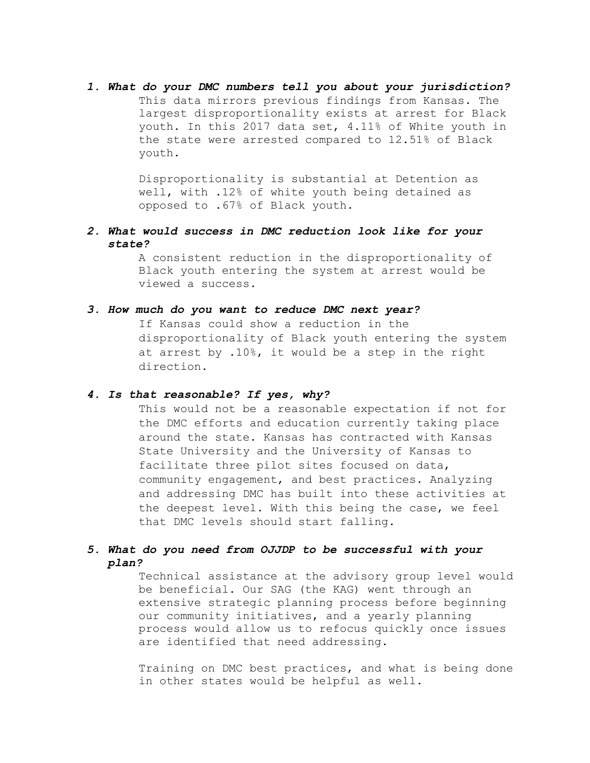*1. What do your DMC numbers tell you about your jurisdiction?* This data mirrors previous findings from Kansas. The largest disproportionality exists at arrest for Black youth. In this 2017 data set, 4.11% of White youth in the state were arrested compared to 12.51% of Black youth.

> Disproportionality is substantial at Detention as well, with .12% of white youth being detained as opposed to .67% of Black youth.

*2. What would success in DMC reduction look like for your state?*

> A consistent reduction in the disproportionality of Black youth entering the system at arrest would be viewed a success.

## *3. How much do you want to reduce DMC next year?*

If Kansas could show a reduction in the disproportionality of Black youth entering the system at arrest by .10%, it would be a step in the right direction.

## *4. Is that reasonable? If yes, why?*

This would not be a reasonable expectation if not for the DMC efforts and education currently taking place around the state. Kansas has contracted with Kansas State University and the University of Kansas to facilitate three pilot sites focused on data, community engagement, and best practices. Analyzing and addressing DMC has built into these activities at the deepest level. With this being the case, we feel that DMC levels should start falling.

## *5. What do you need from OJJDP to be successful with your plan?*

Technical assistance at the advisory group level would be beneficial. Our SAG (the KAG) went through an extensive strategic planning process before beginning our community initiatives, and a yearly planning process would allow us to refocus quickly once issues are identified that need addressing.

Training on DMC best practices, and what is being done in other states would be helpful as well.